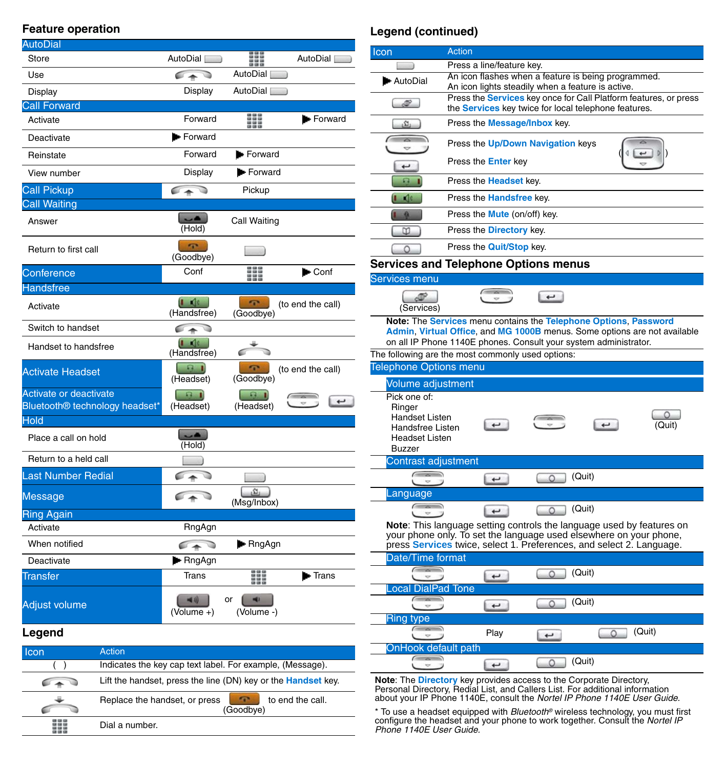#### **Feature operation**

| AutoDial                                                 |                                       |                           |                             |
|----------------------------------------------------------|---------------------------------------|---------------------------|-----------------------------|
| Store                                                    | AutoDial [Dec                         | ana<br>ana                | AutoDial [120]              |
| Use                                                      | $\sqrt{2}$                            | AutoDial [Do              |                             |
| Display                                                  | Display                               | AutoDial                  |                             |
| <b>Call Forward</b>                                      |                                       |                           |                             |
| Activate                                                 | Forward                               | 8888<br>8888<br>888       | Forward                     |
| Deactivate                                               | Forward                               |                           |                             |
| Reinstate                                                | Forward                               | Forward                   |                             |
| View number                                              | Display                               | Forward                   |                             |
| <b>Call Pickup</b>                                       | $\rightarrow$                         | Pickup                    |                             |
| <b>Call Waiting</b>                                      |                                       |                           |                             |
| Answer                                                   | <b>STAR</b><br>(Hold)                 | Call Waiting              |                             |
| Return to first call                                     | m<br>(Goodbye)                        |                           |                             |
| Conference                                               | Conf                                  | 888<br>888                | $\blacktriangleright$ Conf  |
| Handsfree                                                |                                       |                           |                             |
| Activate                                                 | $1 - 16$<br>(Handsfree)               | $\mathbf{r}$<br>(Goodbye) | (to end the call)           |
| Switch to handset                                        | - 1                                   |                           |                             |
| Handset to handsfree                                     | $1 - 1$<br>(Handsfree)                |                           |                             |
| <b>Activate Headset</b>                                  | $-9.1$<br>(Headset)                   | (Goodbye)                 | (to end the call)           |
| Activate or deactivate<br>Bluetooth® technology headset* | (Headset)                             | (Headset)                 |                             |
| <b>Hold</b>                                              |                                       |                           |                             |
| Place a call on hold                                     | ه<br>(Hold)                           |                           |                             |
| Return to a held call                                    |                                       |                           |                             |
| Last Number Redial                                       |                                       |                           |                             |
| Message                                                  | $\epsilon$                            | (Msg/Inbox)               |                             |
| <b>Ring Again</b>                                        |                                       |                           |                             |
| Activate                                                 | RngAgn                                |                           |                             |
| When notified                                            | $\sqrt{1}$                            | ▶ RngAgn                  |                             |
| Deactivate                                               | $\blacktriangleright$ RngAgn          |                           |                             |
| <b>Transfer</b>                                          | Trans                                 | ana<br>Hae                | $\blacktriangleright$ Trans |
| <b>Adjust volume</b>                                     | $\blacktriangleleft$ 0)<br>(Volume +) | or<br>۰<br>(Volume -)     |                             |
| Legend                                                   |                                       |                           |                             |

| <b>Icon</b> | Action                                                               |
|-------------|----------------------------------------------------------------------|
|             | Indicates the key cap text label. For example, (Message).            |
|             | Lift the handset, press the line (DN) key or the <b>Handset</b> key. |
|             | Replace the handset, or press<br>œ<br>to end the call.<br>(Goodbye)  |
|             | Dial a number.                                                       |

#### **Legend (continued)**

|                                                                                        | Action                                                                                                                                                                                                                                                                 |
|----------------------------------------------------------------------------------------|------------------------------------------------------------------------------------------------------------------------------------------------------------------------------------------------------------------------------------------------------------------------|
|                                                                                        | Press a line/feature key.                                                                                                                                                                                                                                              |
| AutoDial                                                                               | An icon flashes when a feature is being programmed.<br>An icon lights steadily when a feature is active.                                                                                                                                                               |
| Æ                                                                                      | Press the <b>Services</b> key once for Call Platform features, or press<br>the <b>Services</b> key twice for local telephone features.                                                                                                                                 |
| رائک                                                                                   | Press the <b>Message/Inbox</b> key.                                                                                                                                                                                                                                    |
| v                                                                                      | Press the Up/Down Navigation keys                                                                                                                                                                                                                                      |
| $\overline{\phantom{0}}$                                                               | Press the <b>Enter</b> key                                                                                                                                                                                                                                             |
|                                                                                        | Press the Headset key.                                                                                                                                                                                                                                                 |
| Кß                                                                                     | Press the Handsfree key.                                                                                                                                                                                                                                               |
|                                                                                        | Press the <b>Mute</b> (on/off) key.                                                                                                                                                                                                                                    |
| Φ                                                                                      | Press the Directory key.                                                                                                                                                                                                                                               |
| O                                                                                      | Press the <b>Quit/Stop</b> key.                                                                                                                                                                                                                                        |
|                                                                                        | <b>Services and Telephone Options menus</b>                                                                                                                                                                                                                            |
| <b>Services menu</b>                                                                   |                                                                                                                                                                                                                                                                        |
| $\mathscr{F}$<br>(Services)                                                            | $\overline{ }$                                                                                                                                                                                                                                                         |
|                                                                                        | Note: The Services menu contains the Telephone Options, Password<br>Admin, Virtual Office, and MG 1000B menus. Some options are not available<br>on all IP Phone 1140E phones. Consult your system administrator.<br>The following are the most commonly used options: |
| <b>Telephone Options menu</b>                                                          |                                                                                                                                                                                                                                                                        |
| <b>Volume adjustment</b>                                                               |                                                                                                                                                                                                                                                                        |
| Pick one of:                                                                           |                                                                                                                                                                                                                                                                        |
| Ringer<br><b>Handset Listen</b><br>Handsfree Listen<br><b>Headset Listen</b><br>Buzzer | Ω<br>$\overline{\phantom{a}}$<br>(Quit)                                                                                                                                                                                                                                |
| Contrast adjustment                                                                    |                                                                                                                                                                                                                                                                        |
|                                                                                        | (Quit)<br>$\circ$<br>$\overline{ }$                                                                                                                                                                                                                                    |
| Language                                                                               |                                                                                                                                                                                                                                                                        |
|                                                                                        | $\begin{array}{ c c } \hline \circ & \circ \end{array}$ (Quit)<br>$\overline{ }$                                                                                                                                                                                       |
|                                                                                        | <b>Note:</b> This language setting controls the language used by features on<br>your phone only. To set the language used elsewhere on your phone,<br>press <b>Services</b> twice, select 1. Preferences, and select 2. Language.                                      |
| Date/Time format                                                                       |                                                                                                                                                                                                                                                                        |
|                                                                                        | (Quit)<br>$\circ$<br>$\overline{\phantom{0}}$                                                                                                                                                                                                                          |
| Local DialPad Tone                                                                     |                                                                                                                                                                                                                                                                        |
|                                                                                        | (Quit)<br>$\circ$<br>$\overline{ }$                                                                                                                                                                                                                                    |
| <b>Ring type</b>                                                                       |                                                                                                                                                                                                                                                                        |
| OnHook default path                                                                    | (Quit)<br>$\circ$<br>Play<br>$\overline{ }$                                                                                                                                                                                                                            |

**Note**: The <mark>Directory</mark> key provides access to the Corporate Directory,<br>Personal Directory, Redial List, and Callers List. For additional information<br>about your IP Phone 1140E, consult the *Nortel IP Phone 1140E User Guide* 

\* To use a headset equipped with *Bluetooth®* wireless technology, you must first configure the headset and your phone to work together. Consult the *Nortel IP Phone 1140E User Guide.*